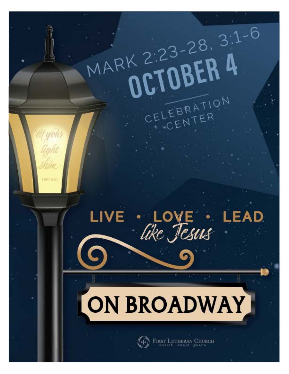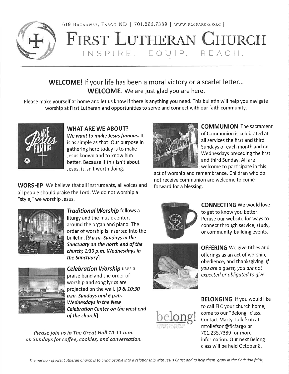

FIRST LUTHERAN CHURCH INSPIRE, EQUIP, REACH.

# WELCOME! If your life has been a moral victory or a scarlet letter... **WELCOME.** We are just glad you are here.

Please make yourself at home and let us know if there is anything you need. This bulletin will help you navigate worship at First Lutheran and opportunities to serve and connect with our faith community.



**WHAT ARE WE ABOUT?** We want to make Jesus famous. It is as simple as that. Our purpose in gathering here today is to make Jesus known and to know him better. Because if this isn't about Jesus, it isn't worth doing.

**WORSHIP** We believe that all instruments, all voices and all people should praise the Lord. We do not worship a "style," we worship Jesus.



**COMMUNION** The sacrament of Communion is celebrated at all services the first and third Sundays of each month and on Wednesdays preceding the first and third Sunday. All are welcome to participate in this

act of worship and remembrance. Children who do not receive communion are welcome to come forward for a blessing.



**Traditional Worship follows a** liturgy and the music centers around the organ and piano. The order of worship is inserted into the bulletin. [9 a.m. Sundays in the Sanctuary on the north end of the church; 1:30 p.m. Wednesdays in the Sanctuary]



**Celebration Worship uses a** praise band and the order of worship and song lyrics are projected on the wall. [9 & 10:30 a.m. Sundays and 6 p.m. **Wednesdays in the New Celebration Center on the west end** of the church]

Please join us in The Great Hall 10-11 a.m. on Sundays for coffee, cookies, and conversation.







**OFFERING** We give tithes and offerings as an act of worship, obedience, and thanksgiving. If you are a quest, you are not expected or obligated to give.



**BELONGING** If you would like to call FLC your church home, come to our "Belong" class. Contact Marty Tollefson at mtollefson@flcfargo or 701.235.7389 for more information. Our next Belong class will be held October 8.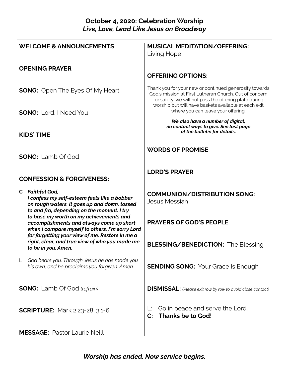# **October 4, 2020: Celebration Worship** *Live, Love, Lead Like Jesus on Broadway*

| <b>WELCOME &amp; ANNOUNCEMENTS</b>                                                                                                                                          | <b>MUSICAL MEDITATION/OFFERING:</b><br>Living Hope                                                                                                                         |
|-----------------------------------------------------------------------------------------------------------------------------------------------------------------------------|----------------------------------------------------------------------------------------------------------------------------------------------------------------------------|
| <b>OPENING PRAYER</b>                                                                                                                                                       | <b>OFFERING OPTIONS:</b>                                                                                                                                                   |
| <b>SONG:</b> Open The Eyes Of My Heart                                                                                                                                      | Thank you for your new or continued generosity towards<br>God's mission at First Lutheran Church, Out of concern<br>for safety, we will not pass the offering plate during |
| <b>SONG: Lord, I Need You</b>                                                                                                                                               | worship but will have baskets available at each exit<br>where you can leave your offering.                                                                                 |
| <b>KIDS' TIME</b>                                                                                                                                                           | We also have a number of digital,<br>no contact ways to give. See last page<br>of the bulletin for details.                                                                |
| <b>SONG:</b> Lamb Of God                                                                                                                                                    | <b>WORDS OF PROMISE</b>                                                                                                                                                    |
| <b>CONFESSION &amp; FORGIVENESS:</b>                                                                                                                                        | <b>LORD'S PRAYER</b>                                                                                                                                                       |
| Faithful God,<br>$\mathbf{C}$<br>I confess my self-esteem feels like a bobber<br>on rough waters. It goes up and down, tossed<br>to and fro, depending on the moment. I try | <b>COMMUNION/DISTRIBUTION SONG:</b><br><b>Jesus Messiah</b>                                                                                                                |
| to base my worth on my achievements and<br>accomplishments and always come up short<br>when I compare myself to others. I'm sorry Lord                                      | <b>PRAYERS OF GOD'S PEOPLE</b>                                                                                                                                             |
| for forgetting your view of me. Restore in me a<br>right, clear, and true view of who you made me<br>to be in you. Amen.                                                    | <b>BLESSING/BENEDICTION:</b> The Blessing                                                                                                                                  |
| God hears you. Through Jesus he has made you<br>L.<br>his own, and he proclaims you forgiven. Amen.                                                                         | <b>SENDING SONG: Your Grace Is Enough</b>                                                                                                                                  |
| <b>SONG:</b> Lamb Of God (refrain)                                                                                                                                          | <b>DISMISSAL:</b> (Please exit row by row to avoid close contact)                                                                                                          |
| <b>SCRIPTURE:</b> Mark 2:23-28; 3:1-6                                                                                                                                       | Go in peace and serve the Lord.<br><b>Thanks be to God!</b><br>$\mathbf{C}$                                                                                                |
| <b>MESSAGE: Pastor Laurie Neill</b>                                                                                                                                         |                                                                                                                                                                            |

*Worship has ended. Now service begins.*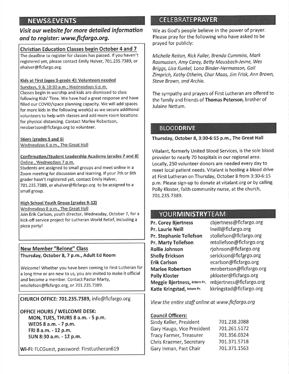## **NEWS&EVENTS**

### Visit our website for more detailed information and to register: www.flcfargo.org.

### **Christian Education Classes begin October 4 and 7**

The deadline to register for classes has passed. If you haven't registered yet, please contact Emily Halver, 701.235.7389, or ehalver@flcfargo.org.

#### Kids at First (ages 3-grade 4): Volunteers needed

Sundays, 9 & 10:30 a.m.; Wednesdays 6 p.m.

Classes begin in worship and kids are dismissed to class following Kids' Time. We have had a great response and have filled our COVID/space planning capacity. We will add spaces for more kids in the following week(s) as we secure additional volunteers to help with classes and add more room locations for physical distancing. Contact Marlee Robertson, mrobertson@flcfargo.org to volunteer.

56ers (grades 5 and 6) Wednesdays 6 p.m., The Great Hall

#### Confirmation/Student Leadership Academy (grades 7 and 8) Online, Wednesdays 7 p.m.

Students are assigned to small groups and meet online in a Zoom meeting for discussion and learning. If your 7th or 8th grader hasn't registered yet, contact Emily Halver, 701.235.7389, or ehalver@flcfargo.org. to be assigned to a small group.

### **High School Youth Group (grades 9-12)**

Wednesdays 8 p.m., The Great Hall

Join Erik Carlson, youth director, Wednesday, October 7, for a kick-off service project for Lutheran World Relief, including a pizza party!

### New Member "Belong" Class Thursday, October 8, 7 p.m., Adult Ed Room

Welcome! Whether you have been coming to First Lutheran for a long time or are new to us, you are invited to make it official and become a member. Contact Pastor Marty, mtollefson@flcfargo.org, or 701.235.7389.

CHURCH OFFICE: 701.235.7389, info@flcfargo.org

### OFFICE HOURS / WELCOME DESK:

MON, TUES, THURS 8 a.m. - 5 p.m. WEDS 8 a.m. - 7 p.m. FRI 8 a.m. - 12 p.m. SUN 8:30 a.m. - 12 p.m.

Wi-Fi: FLCGuest, password: FirstLutheran619

## **CELEBRATEPRAYER**

We as God's people believe in the power of prayer. Please pray for the following who have asked to be prayed for publicly:

Michelle Reitan, Rick Fuller, Brenda Cummins, Mark Rasmussen, Amy Carey, Betty Mausbach-Jevne, Wes Briggs, Lisa Kunkel, Lona Binder-Hermanson, Gail Zimprich, Kathy Otheim, Char Maas, Jim Frisk, Ann Brown, Steve Brown, and Archie.

The sympathy and prayers of First Lutheran are offered to the family and friends of Thomas Peterson, brother of Julaine Nettum.

### **BLOODDRIVE**

### Thursday, October 8, 3:30-6:15 p.m., The Great Hall

Vitalant, formerly United Blood Services, is the sole blood provider to nearly 70 hospitals in our regional area. Locally, 250 volunteer donors are needed every day to meet local patient needs. Vitalant is hosting a blood drive at First Lutheran on Thursday, October 8 from 3:30-6:15 p.m. Please sign-up to donate at vitalant.org or by calling Polly Kloster, faith community nurse, at the church, 701.235.7389.

## **YOURMINISTRYTEAM**

| Pr. Corey Bjertness          | cbjertness@flcfargo.org |
|------------------------------|-------------------------|
| Pr. Laurie Neill             | Ineill@flcfargo.org     |
| Pr. Stephanie Tollefson      | stollefson@flcfargo.org |
| Pr. Marty Tollefson          | mtollefson@flcfargo.org |
| Rollie Johnson               | rjohnson@flcfargo.org   |
| <b>Shelly Erickson</b>       | serickson@flcfargo.org  |
| Erik Carlson                 | ecarlson@flcfargo.org   |
| <b>Marlee Robertson</b>      | mrobertson@flcfargo.org |
| <b>Polly Kloster</b>         | pkloster@flcfargo.org   |
| Meggie Bjertness, Intern Pra | mbjertness@flcfargo.org |
| Katie Kringstad, Intern Pr.  | kkringstad@flcfargo.org |

View the entire staff online at www.flcfargo.org

### **Council Officers:**

| Sindy Keller, President           | 701.238.2088 |
|-----------------------------------|--------------|
| <b>Gary Haugo, Vice President</b> | 701.261.5172 |
| Tracy Farmer, Treasurer           | 701.356.0324 |
| Chris Kraemer, Secretary          | 701.371.5718 |
| Gary Inman, Past Chair            | 701.371.1563 |
|                                   |              |